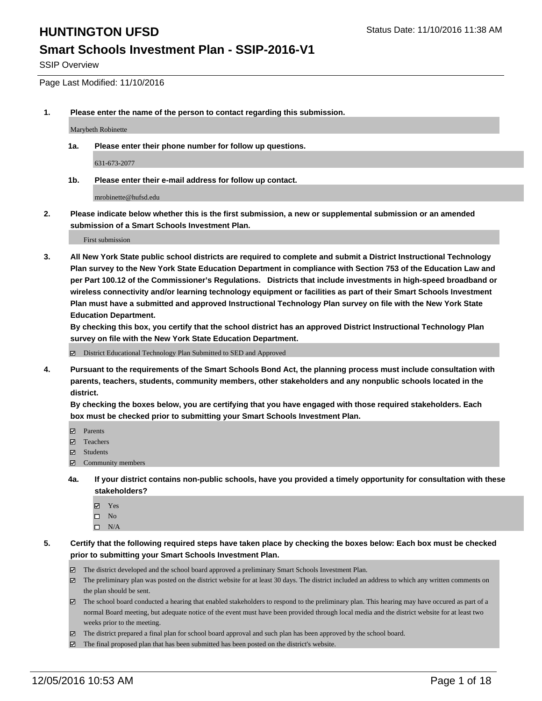### **Smart Schools Investment Plan - SSIP-2016-V1**

SSIP Overview

Page Last Modified: 11/10/2016

**1. Please enter the name of the person to contact regarding this submission.**

Marybeth Robinette

**1a. Please enter their phone number for follow up questions.**

631-673-2077

**1b. Please enter their e-mail address for follow up contact.**

mrobinette@hufsd.edu

**2. Please indicate below whether this is the first submission, a new or supplemental submission or an amended submission of a Smart Schools Investment Plan.**

First submission

**3. All New York State public school districts are required to complete and submit a District Instructional Technology Plan survey to the New York State Education Department in compliance with Section 753 of the Education Law and per Part 100.12 of the Commissioner's Regulations. Districts that include investments in high-speed broadband or wireless connectivity and/or learning technology equipment or facilities as part of their Smart Schools Investment Plan must have a submitted and approved Instructional Technology Plan survey on file with the New York State Education Department.** 

**By checking this box, you certify that the school district has an approved District Instructional Technology Plan survey on file with the New York State Education Department.**

District Educational Technology Plan Submitted to SED and Approved

**4. Pursuant to the requirements of the Smart Schools Bond Act, the planning process must include consultation with parents, teachers, students, community members, other stakeholders and any nonpublic schools located in the district.** 

**By checking the boxes below, you are certifying that you have engaged with those required stakeholders. Each box must be checked prior to submitting your Smart Schools Investment Plan.**

- **Parents**
- Teachers
- **冈** Students
- Community members
- **4a. If your district contains non-public schools, have you provided a timely opportunity for consultation with these stakeholders?**
	- Yes
	- $\square$  No
	- $\square$  N/A
- **5. Certify that the following required steps have taken place by checking the boxes below: Each box must be checked prior to submitting your Smart Schools Investment Plan.**
	- The district developed and the school board approved a preliminary Smart Schools Investment Plan.
	- The preliminary plan was posted on the district website for at least 30 days. The district included an address to which any written comments on the plan should be sent.
	- The school board conducted a hearing that enabled stakeholders to respond to the preliminary plan. This hearing may have occured as part of a normal Board meeting, but adequate notice of the event must have been provided through local media and the district website for at least two weeks prior to the meeting.
	- The district prepared a final plan for school board approval and such plan has been approved by the school board.
	- $\boxtimes$  The final proposed plan that has been submitted has been posted on the district's website.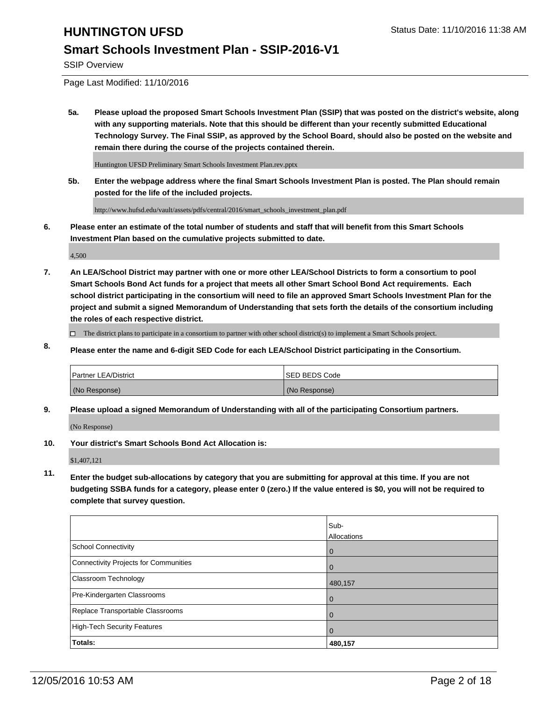### **Smart Schools Investment Plan - SSIP-2016-V1**

SSIP Overview

Page Last Modified: 11/10/2016

**5a. Please upload the proposed Smart Schools Investment Plan (SSIP) that was posted on the district's website, along with any supporting materials. Note that this should be different than your recently submitted Educational Technology Survey. The Final SSIP, as approved by the School Board, should also be posted on the website and remain there during the course of the projects contained therein.**

Huntington UFSD Preliminary Smart Schools Investment Plan.rev.pptx

**5b. Enter the webpage address where the final Smart Schools Investment Plan is posted. The Plan should remain posted for the life of the included projects.**

http://www.hufsd.edu/vault/assets/pdfs/central/2016/smart\_schools\_investment\_plan.pdf

**6. Please enter an estimate of the total number of students and staff that will benefit from this Smart Schools Investment Plan based on the cumulative projects submitted to date.**

4,500

- **7. An LEA/School District may partner with one or more other LEA/School Districts to form a consortium to pool Smart Schools Bond Act funds for a project that meets all other Smart School Bond Act requirements. Each school district participating in the consortium will need to file an approved Smart Schools Investment Plan for the project and submit a signed Memorandum of Understanding that sets forth the details of the consortium including the roles of each respective district.**
	- $\Box$  The district plans to participate in a consortium to partner with other school district(s) to implement a Smart Schools project.
- **8. Please enter the name and 6-digit SED Code for each LEA/School District participating in the Consortium.**

| <b>Partner LEA/District</b> | <b>ISED BEDS Code</b> |
|-----------------------------|-----------------------|
| (No Response)               | (No Response)         |

**9. Please upload a signed Memorandum of Understanding with all of the participating Consortium partners.**

(No Response)

**10. Your district's Smart Schools Bond Act Allocation is:**

\$1,407,121

**11. Enter the budget sub-allocations by category that you are submitting for approval at this time. If you are not budgeting SSBA funds for a category, please enter 0 (zero.) If the value entered is \$0, you will not be required to complete that survey question.**

|                                       | Sub-        |
|---------------------------------------|-------------|
|                                       | Allocations |
| School Connectivity                   |             |
| Connectivity Projects for Communities |             |
| <b>Classroom Technology</b>           | 480,157     |
| Pre-Kindergarten Classrooms           |             |
| Replace Transportable Classrooms      |             |
| High-Tech Security Features           |             |
| Totals:                               | 480,157     |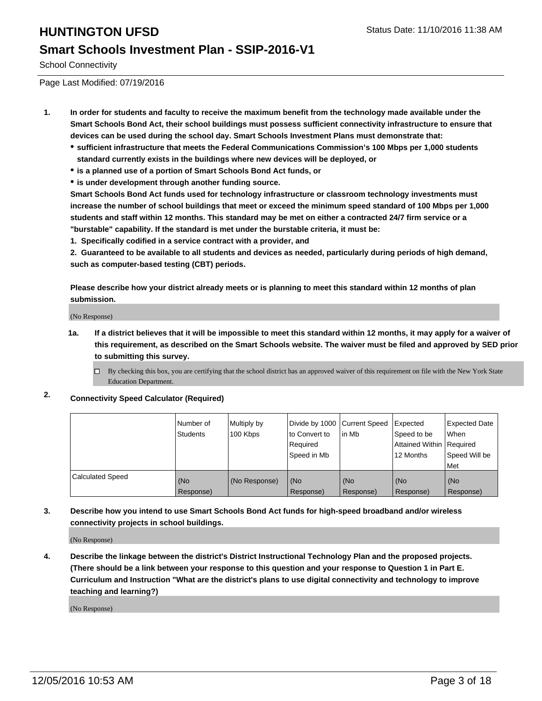### **Smart Schools Investment Plan - SSIP-2016-V1**

School Connectivity

Page Last Modified: 07/19/2016

- **1. In order for students and faculty to receive the maximum benefit from the technology made available under the Smart Schools Bond Act, their school buildings must possess sufficient connectivity infrastructure to ensure that devices can be used during the school day. Smart Schools Investment Plans must demonstrate that:**
	- **sufficient infrastructure that meets the Federal Communications Commission's 100 Mbps per 1,000 students standard currently exists in the buildings where new devices will be deployed, or**
	- **is a planned use of a portion of Smart Schools Bond Act funds, or**
	- **is under development through another funding source.**

**Smart Schools Bond Act funds used for technology infrastructure or classroom technology investments must increase the number of school buildings that meet or exceed the minimum speed standard of 100 Mbps per 1,000 students and staff within 12 months. This standard may be met on either a contracted 24/7 firm service or a "burstable" capability. If the standard is met under the burstable criteria, it must be:**

**1. Specifically codified in a service contract with a provider, and**

**2. Guaranteed to be available to all students and devices as needed, particularly during periods of high demand, such as computer-based testing (CBT) periods.**

**Please describe how your district already meets or is planning to meet this standard within 12 months of plan submission.**

(No Response)

**1a. If a district believes that it will be impossible to meet this standard within 12 months, it may apply for a waiver of this requirement, as described on the Smart Schools website. The waiver must be filed and approved by SED prior to submitting this survey.**

 $\Box$ By checking this box, you are certifying that the school district has an approved waiver of this requirement on file with the New York State Education Department.

**2. Connectivity Speed Calculator (Required)**

|                         | Number of<br>Students | Multiply by<br>100 Kbps | Divide by 1000 Current Speed<br>to Convert to<br>l Reauired<br>Speed in Mb | lin Mb           | Expected<br>Speed to be<br>Attained Within   Required<br>12 Months | Expected Date<br>l When<br>Speed Will be<br>l Met |
|-------------------------|-----------------------|-------------------------|----------------------------------------------------------------------------|------------------|--------------------------------------------------------------------|---------------------------------------------------|
| <b>Calculated Speed</b> | (No<br>Response)      | (No Response)           | (No<br>Response)                                                           | (No<br>Response) | (No<br>Response)                                                   | (No<br>Response)                                  |

**3. Describe how you intend to use Smart Schools Bond Act funds for high-speed broadband and/or wireless connectivity projects in school buildings.**

(No Response)

**4. Describe the linkage between the district's District Instructional Technology Plan and the proposed projects. (There should be a link between your response to this question and your response to Question 1 in Part E. Curriculum and Instruction "What are the district's plans to use digital connectivity and technology to improve teaching and learning?)**

(No Response)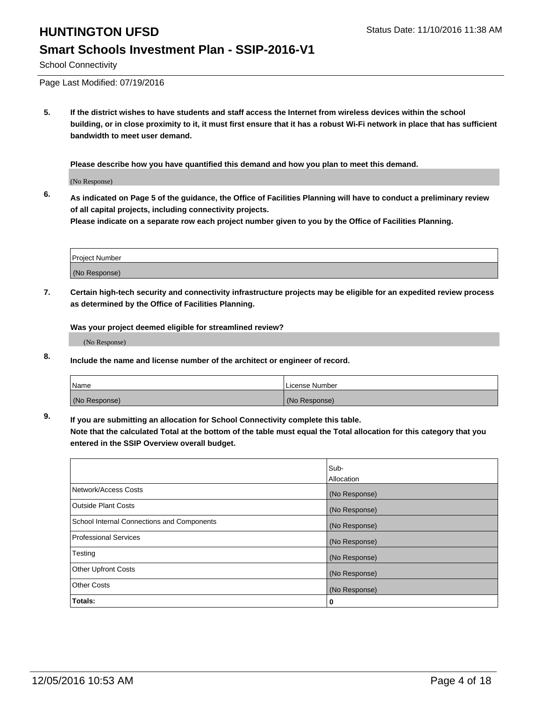# **HUNTINGTON UFSD** Status Date: 11/10/2016 11:38 AM **Smart Schools Investment Plan - SSIP-2016-V1**

School Connectivity

Page Last Modified: 07/19/2016

**5. If the district wishes to have students and staff access the Internet from wireless devices within the school building, or in close proximity to it, it must first ensure that it has a robust Wi-Fi network in place that has sufficient bandwidth to meet user demand.**

**Please describe how you have quantified this demand and how you plan to meet this demand.**

(No Response)

**6. As indicated on Page 5 of the guidance, the Office of Facilities Planning will have to conduct a preliminary review of all capital projects, including connectivity projects.**

**Please indicate on a separate row each project number given to you by the Office of Facilities Planning.**

| Project Number |  |
|----------------|--|
|                |  |
| (No Response)  |  |

**7. Certain high-tech security and connectivity infrastructure projects may be eligible for an expedited review process as determined by the Office of Facilities Planning.**

**Was your project deemed eligible for streamlined review?**

(No Response)

**8. Include the name and license number of the architect or engineer of record.**

| <i>Name</i>   | License Number |
|---------------|----------------|
| (No Response) | (No Response)  |

**9. If you are submitting an allocation for School Connectivity complete this table.**

**Note that the calculated Total at the bottom of the table must equal the Total allocation for this category that you entered in the SSIP Overview overall budget.** 

|                                            | Sub-          |
|--------------------------------------------|---------------|
|                                            | Allocation    |
| Network/Access Costs                       | (No Response) |
| <b>Outside Plant Costs</b>                 | (No Response) |
| School Internal Connections and Components | (No Response) |
| <b>Professional Services</b>               | (No Response) |
| Testing                                    | (No Response) |
| <b>Other Upfront Costs</b>                 | (No Response) |
| <b>Other Costs</b>                         | (No Response) |
| Totals:                                    | 0             |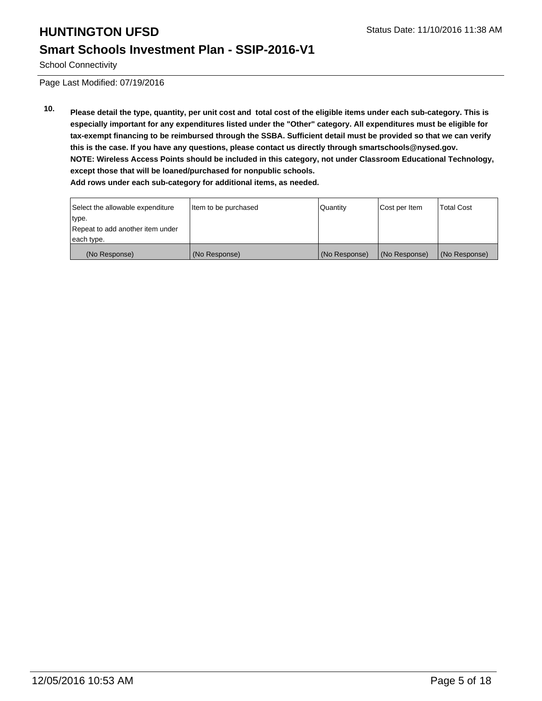### **Smart Schools Investment Plan - SSIP-2016-V1**

School Connectivity

Page Last Modified: 07/19/2016

**10. Please detail the type, quantity, per unit cost and total cost of the eligible items under each sub-category. This is especially important for any expenditures listed under the "Other" category. All expenditures must be eligible for tax-exempt financing to be reimbursed through the SSBA. Sufficient detail must be provided so that we can verify this is the case. If you have any questions, please contact us directly through smartschools@nysed.gov. NOTE: Wireless Access Points should be included in this category, not under Classroom Educational Technology, except those that will be loaned/purchased for nonpublic schools.**

|  |  |  |  |  |  |  | Add rows under each sub-category for additional items, as needed. |  |  |  |
|--|--|--|--|--|--|--|-------------------------------------------------------------------|--|--|--|
|--|--|--|--|--|--|--|-------------------------------------------------------------------|--|--|--|

| Select the allowable expenditure | litem to be purchased | Quantity      | Cost per Item | <b>Total Cost</b> |
|----------------------------------|-----------------------|---------------|---------------|-------------------|
| type.                            |                       |               |               |                   |
| Repeat to add another item under |                       |               |               |                   |
| each type.                       |                       |               |               |                   |
| (No Response)                    | (No Response)         | (No Response) | (No Response) | (No Response)     |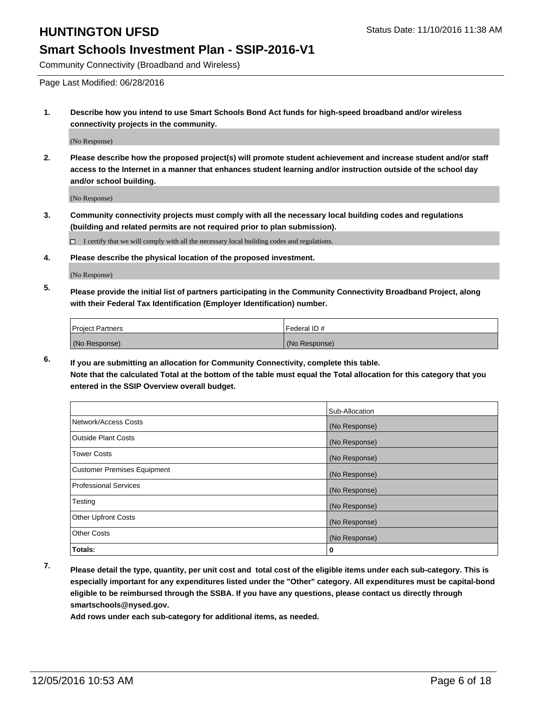### **Smart Schools Investment Plan - SSIP-2016-V1**

Community Connectivity (Broadband and Wireless)

Page Last Modified: 06/28/2016

**1. Describe how you intend to use Smart Schools Bond Act funds for high-speed broadband and/or wireless connectivity projects in the community.**

(No Response)

**2. Please describe how the proposed project(s) will promote student achievement and increase student and/or staff access to the Internet in a manner that enhances student learning and/or instruction outside of the school day and/or school building.**

(No Response)

**3. Community connectivity projects must comply with all the necessary local building codes and regulations (building and related permits are not required prior to plan submission).**

 $\Box$  I certify that we will comply with all the necessary local building codes and regulations.

**4. Please describe the physical location of the proposed investment.**

(No Response)

**5. Please provide the initial list of partners participating in the Community Connectivity Broadband Project, along with their Federal Tax Identification (Employer Identification) number.**

| <b>Project Partners</b> | <b>IFederal ID#</b> |
|-------------------------|---------------------|
| (No Response)           | (No Response)       |

**6. If you are submitting an allocation for Community Connectivity, complete this table. Note that the calculated Total at the bottom of the table must equal the Total allocation for this category that you entered in the SSIP Overview overall budget.**

|                                    | Sub-Allocation |
|------------------------------------|----------------|
| Network/Access Costs               | (No Response)  |
| <b>Outside Plant Costs</b>         | (No Response)  |
| <b>Tower Costs</b>                 | (No Response)  |
| <b>Customer Premises Equipment</b> | (No Response)  |
| <b>Professional Services</b>       | (No Response)  |
| Testing                            | (No Response)  |
| <b>Other Upfront Costs</b>         | (No Response)  |
| <b>Other Costs</b>                 | (No Response)  |
| Totals:                            | 0              |

**7. Please detail the type, quantity, per unit cost and total cost of the eligible items under each sub-category. This is especially important for any expenditures listed under the "Other" category. All expenditures must be capital-bond eligible to be reimbursed through the SSBA. If you have any questions, please contact us directly through smartschools@nysed.gov.**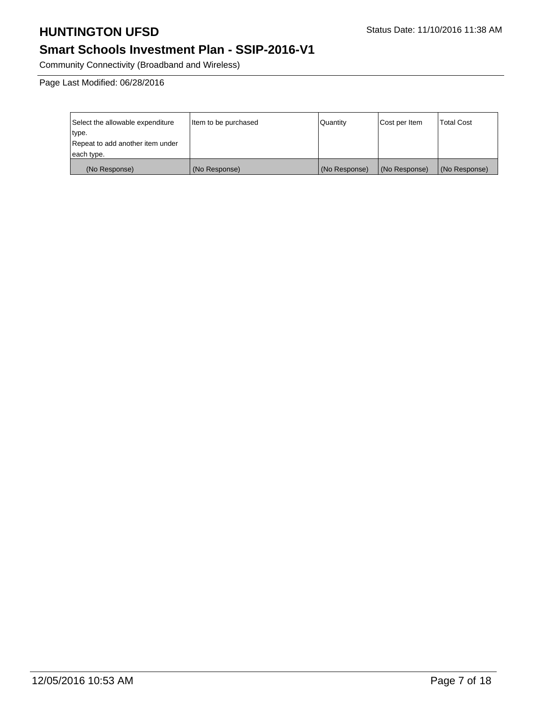# **Smart Schools Investment Plan - SSIP-2016-V1**

Community Connectivity (Broadband and Wireless)

Page Last Modified: 06/28/2016

| Select the allowable expenditure | litem to be purchased | Quantity      | Cost per Item | <b>Total Cost</b> |
|----------------------------------|-----------------------|---------------|---------------|-------------------|
| type.                            |                       |               |               |                   |
| Repeat to add another item under |                       |               |               |                   |
| each type.                       |                       |               |               |                   |
| (No Response)                    | (No Response)         | (No Response) | (No Response) | (No Response)     |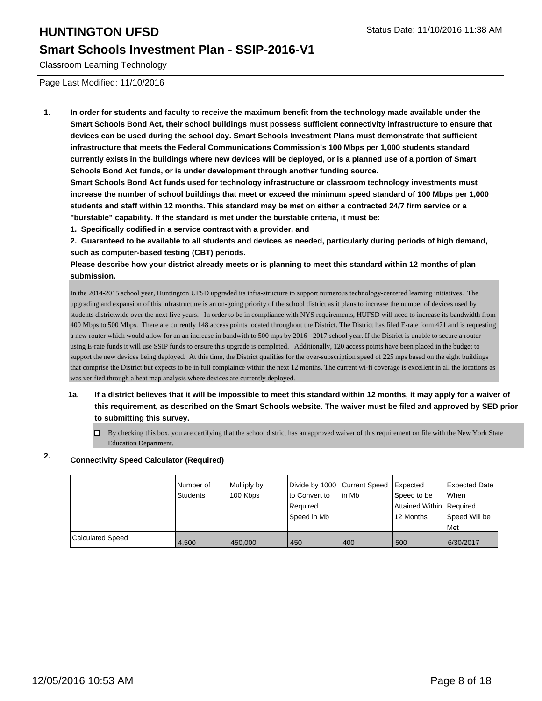### **Smart Schools Investment Plan - SSIP-2016-V1**

Classroom Learning Technology

Page Last Modified: 11/10/2016

**1. In order for students and faculty to receive the maximum benefit from the technology made available under the Smart Schools Bond Act, their school buildings must possess sufficient connectivity infrastructure to ensure that devices can be used during the school day. Smart Schools Investment Plans must demonstrate that sufficient infrastructure that meets the Federal Communications Commission's 100 Mbps per 1,000 students standard currently exists in the buildings where new devices will be deployed, or is a planned use of a portion of Smart Schools Bond Act funds, or is under development through another funding source.**

**Smart Schools Bond Act funds used for technology infrastructure or classroom technology investments must increase the number of school buildings that meet or exceed the minimum speed standard of 100 Mbps per 1,000 students and staff within 12 months. This standard may be met on either a contracted 24/7 firm service or a "burstable" capability. If the standard is met under the burstable criteria, it must be:**

**1. Specifically codified in a service contract with a provider, and**

**2. Guaranteed to be available to all students and devices as needed, particularly during periods of high demand, such as computer-based testing (CBT) periods.**

**Please describe how your district already meets or is planning to meet this standard within 12 months of plan submission.**

In the 2014-2015 school year, Huntington UFSD upgraded its infra-structure to support numerous technology-centered learning initiatives. The upgrading and expansion of this infrastructure is an on-going priority of the school district as it plans to increase the number of devices used by students districtwide over the next five years. In order to be in compliance with NYS requirements, HUFSD will need to increase its bandwidth from 400 Mbps to 500 Mbps. There are currently 148 access points located throughout the District. The District has filed E-rate form 471 and is requesting a new router which would allow for an an increase in bandwith to 500 mps by 2016 - 2017 school year. If the District is unable to secure a router using E-rate funds it will use SSIP funds to ensure this upgrade is completed. Additionally, 120 access points have been placed in the budget to support the new devices being deployed. At this time, the District qualifies for the over-subscription speed of 225 mps based on the eight buildings that comprise the District but expects to be in full complaince within the next 12 months. The current wi-fi coverage is excellent in all the locations as was verified through a heat map analysis where devices are currently deployed.

- **1a. If a district believes that it will be impossible to meet this standard within 12 months, it may apply for a waiver of this requirement, as described on the Smart Schools website. The waiver must be filed and approved by SED prior to submitting this survey.**
	- $\Box$  By checking this box, you are certifying that the school district has an approved waiver of this requirement on file with the New York State Education Department.

### **2. Connectivity Speed Calculator (Required)**

|                         | Number of<br>Students | Multiply by<br>100 Kbps | Divide by 1000 Current Speed<br>to Convert to<br>Required<br>l Speed in Mb | lin Mb | Expected<br>Speed to be<br>Attained Within   Required<br>12 Months | <b>Expected Date</b><br><b>When</b><br>Speed Will be<br>l Met |
|-------------------------|-----------------------|-------------------------|----------------------------------------------------------------------------|--------|--------------------------------------------------------------------|---------------------------------------------------------------|
| <b>Calculated Speed</b> | 4.500                 | 450,000                 | 450                                                                        | 400    | 500                                                                | 6/30/2017                                                     |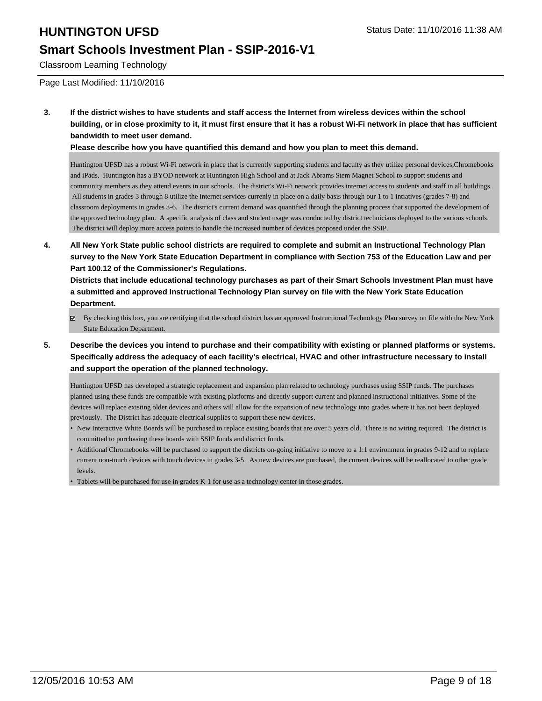## **Smart Schools Investment Plan - SSIP-2016-V1**

Classroom Learning Technology

Page Last Modified: 11/10/2016

**3. If the district wishes to have students and staff access the Internet from wireless devices within the school building, or in close proximity to it, it must first ensure that it has a robust Wi-Fi network in place that has sufficient bandwidth to meet user demand.**

**Please describe how you have quantified this demand and how you plan to meet this demand.**

Huntington UFSD has a robust Wi-Fi network in place that is currently supporting students and faculty as they utilize personal devices,Chromebooks and iPads. Huntington has a BYOD network at Huntington High School and at Jack Abrams Stem Magnet School to support students and community members as they attend events in our schools. The district's Wi-Fi network provides internet access to students and staff in all buildings. All students in grades 3 through 8 utilize the internet services currenly in place on a daily basis through our 1 to 1 intiatives (grades 7-8) and classroom deployments in grades 3-6. The district's current demand was quantified through the planning process that supported the development of the approved technology plan. A specific analysis of class and student usage was conducted by district technicians deployed to the various schools. The district will deploy more access points to handle the increased number of devices proposed under the SSIP.

**4. All New York State public school districts are required to complete and submit an Instructional Technology Plan survey to the New York State Education Department in compliance with Section 753 of the Education Law and per Part 100.12 of the Commissioner's Regulations.**

**Districts that include educational technology purchases as part of their Smart Schools Investment Plan must have a submitted and approved Instructional Technology Plan survey on file with the New York State Education Department.**

- $\boxtimes$  By checking this box, you are certifying that the school district has an approved Instructional Technology Plan survey on file with the New York State Education Department.
- **5. Describe the devices you intend to purchase and their compatibility with existing or planned platforms or systems. Specifically address the adequacy of each facility's electrical, HVAC and other infrastructure necessary to install and support the operation of the planned technology.**

Huntington UFSD has developed a strategic replacement and expansion plan related to technology purchases using SSIP funds. The purchases planned using these funds are compatible with existing platforms and directly support current and planned instructional initiatives. Some of the devices will replace existing older devices and others will allow for the expansion of new technology into grades where it has not been deployed previously. The District has adequate electrical supplies to support these new devices.

- New Interactive White Boards will be purchased to replace existing boards that are over 5 years old. There is no wiring required. The district is committed to purchasing these boards with SSIP funds and district funds.
- Additional Chromebooks will be purchased to support the districts on-going initiative to move to a 1:1 environment in grades 9-12 and to replace current non-touch devices with touch devices in grades 3-5. As new devices are purchased, the current devices will be reallocated to other grade levels.

<sup>•</sup> Tablets will be purchased for use in grades K-1 for use as a technology center in those grades.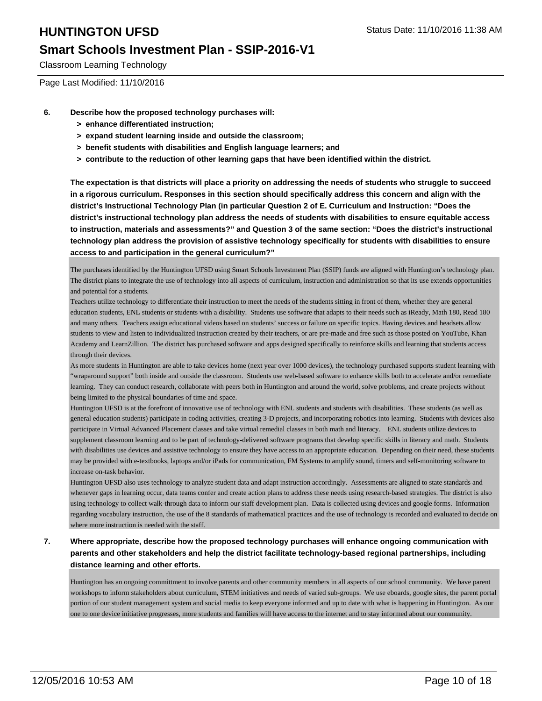## **Smart Schools Investment Plan - SSIP-2016-V1**

Classroom Learning Technology

Page Last Modified: 11/10/2016

- **6. Describe how the proposed technology purchases will:**
	- **> enhance differentiated instruction;**
	- **> expand student learning inside and outside the classroom;**
	- **> benefit students with disabilities and English language learners; and**
	- **> contribute to the reduction of other learning gaps that have been identified within the district.**

**The expectation is that districts will place a priority on addressing the needs of students who struggle to succeed in a rigorous curriculum. Responses in this section should specifically address this concern and align with the district's Instructional Technology Plan (in particular Question 2 of E. Curriculum and Instruction: "Does the district's instructional technology plan address the needs of students with disabilities to ensure equitable access to instruction, materials and assessments?" and Question 3 of the same section: "Does the district's instructional technology plan address the provision of assistive technology specifically for students with disabilities to ensure access to and participation in the general curriculum?"**

The purchases identified by the Huntington UFSD using Smart Schools Investment Plan (SSIP) funds are aligned with Huntington's technology plan. The district plans to integrate the use of technology into all aspects of curriculum, instruction and administration so that its use extends opportunities and potential for a students.

Teachers utilize technology to differentiate their instruction to meet the needs of the students sitting in front of them, whether they are general education students, ENL students or students with a disability. Students use software that adapts to their needs such as iReady, Math 180, Read 180 and many others. Teachers assign educational videos based on students' success or failure on specific topics. Having devices and headsets allow students to view and listen to individualized instruction created by their teachers, or are pre-made and free such as those posted on YouTube, Khan Academy and LearnZillion. The district has purchased software and apps designed specifically to reinforce skills and learning that students access through their devices.

As more students in Huntington are able to take devices home (next year over 1000 devices), the technology purchased supports student learning with "wraparound support" both inside and outside the classroom. Students use web-based software to enhance skills both to accelerate and/or remediate learning. They can conduct research, collaborate with peers both in Huntington and around the world, solve problems, and create projects without being limited to the physical boundaries of time and space.

Huntington UFSD is at the forefront of innovative use of technology with ENL students and students with disabilities. These students (as well as general education students) participate in coding activities, creating 3-D projects, and incorporating robotics into learning. Students with devices also participate in Virtual Advanced Placement classes and take virtual remedial classes in both math and literacy. ENL students utilize devices to supplement classroom learning and to be part of technology-delivered software programs that develop specific skills in literacy and math. Students with disabilities use devices and assistive technology to ensure they have access to an appropriate education. Depending on their need, these students may be provided with e-textbooks, laptops and/or iPads for communication, FM Systems to amplify sound, timers and self-monitoring software to increase on-task behavior.

Huntington UFSD also uses technology to analyze student data and adapt instruction accordingly. Assessments are aligned to state standards and whenever gaps in learning occur, data teams confer and create action plans to address these needs using research-based strategies. The district is also using technology to collect walk-through data to inform our staff development plan. Data is collected using devices and google forms. Information regarding vocabulary instruction, the use of the 8 standards of mathematical practices and the use of technology is recorded and evaluated to decide on where more instruction is needed with the staff.

### **7. Where appropriate, describe how the proposed technology purchases will enhance ongoing communication with parents and other stakeholders and help the district facilitate technology-based regional partnerships, including distance learning and other efforts.**

Huntington has an ongoing committment to involve parents and other community members in all aspects of our school community. We have parent workshops to inform stakeholders about curriculum, STEM initiatives and needs of varied sub-groups. We use eboards, google sites, the parent portal portion of our student management system and social media to keep everyone informed and up to date with what is happening in Huntington. As our one to one device initiative progresses, more students and families will have access to the internet and to stay informed about our community.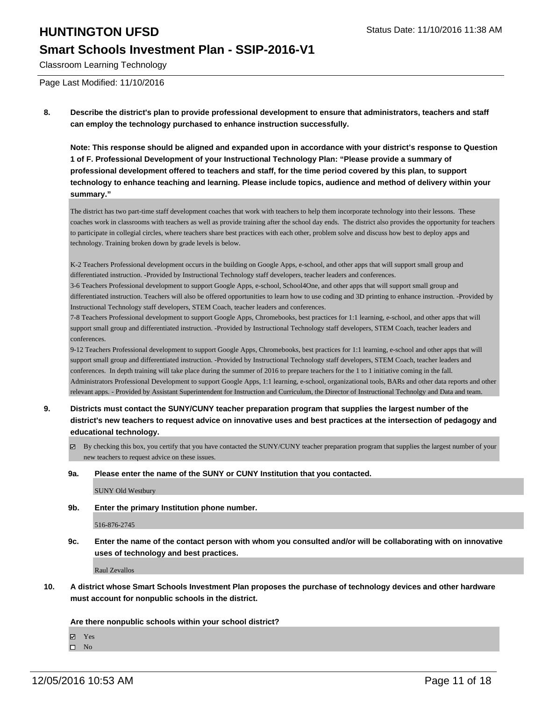### **Smart Schools Investment Plan - SSIP-2016-V1**

Classroom Learning Technology

Page Last Modified: 11/10/2016

**8. Describe the district's plan to provide professional development to ensure that administrators, teachers and staff can employ the technology purchased to enhance instruction successfully.**

**Note: This response should be aligned and expanded upon in accordance with your district's response to Question 1 of F. Professional Development of your Instructional Technology Plan: "Please provide a summary of professional development offered to teachers and staff, for the time period covered by this plan, to support technology to enhance teaching and learning. Please include topics, audience and method of delivery within your summary."**

The district has two part-time staff development coaches that work with teachers to help them incorporate technology into their lessons. These coaches work in classrooms with teachers as well as provide training after the school day ends. The district also provides the opportunity for teachers to participate in collegial circles, where teachers share best practices with each other, problem solve and discuss how best to deploy apps and technology. Training broken down by grade levels is below.

K-2 Teachers Professional development occurs in the building on Google Apps, e-school, and other apps that will support small group and differentiated instruction. -Provided by Instructional Technology staff developers, teacher leaders and conferences.

3-6 Teachers Professional development to support Google Apps, e-school, School4One, and other apps that will support small group and differentiated instruction. Teachers will also be offered opportunities to learn how to use coding and 3D printing to enhance instruction. -Provided by Instructional Technology staff developers, STEM Coach, teacher leaders and conferences.

7-8 Teachers Professional development to support Google Apps, Chromebooks, best practices for 1:1 learning, e-school, and other apps that will support small group and differentiated instruction. -Provided by Instructional Technology staff developers, STEM Coach, teacher leaders and conferences.

9-12 Teachers Professional development to support Google Apps, Chromebooks, best practices for 1:1 learning, e-school and other apps that will support small group and differentiated instruction. -Provided by Instructional Technology staff developers, STEM Coach, teacher leaders and conferences. In depth training will take place during the summer of 2016 to prepare teachers for the 1 to 1 initiative coming in the fall. Administrators Professional Development to support Google Apps, 1:1 learning, e-school, organizational tools, BARs and other data reports and other relevant apps. - Provided by Assistant Superintendent for Instruction and Curriculum, the Director of Instructional Technolgy and Data and team.

- **9. Districts must contact the SUNY/CUNY teacher preparation program that supplies the largest number of the district's new teachers to request advice on innovative uses and best practices at the intersection of pedagogy and educational technology.**
	- $\boxtimes$  By checking this box, you certify that you have contacted the SUNY/CUNY teacher preparation program that supplies the largest number of your new teachers to request advice on these issues.
	- **9a. Please enter the name of the SUNY or CUNY Institution that you contacted.**

SUNY Old Westbury

**9b. Enter the primary Institution phone number.**

516-876-2745

**9c. Enter the name of the contact person with whom you consulted and/or will be collaborating with on innovative uses of technology and best practices.**

Raul Zevallos

**10. A district whose Smart Schools Investment Plan proposes the purchase of technology devices and other hardware must account for nonpublic schools in the district.**

**Are there nonpublic schools within your school district?**

Yes

 $\square$  No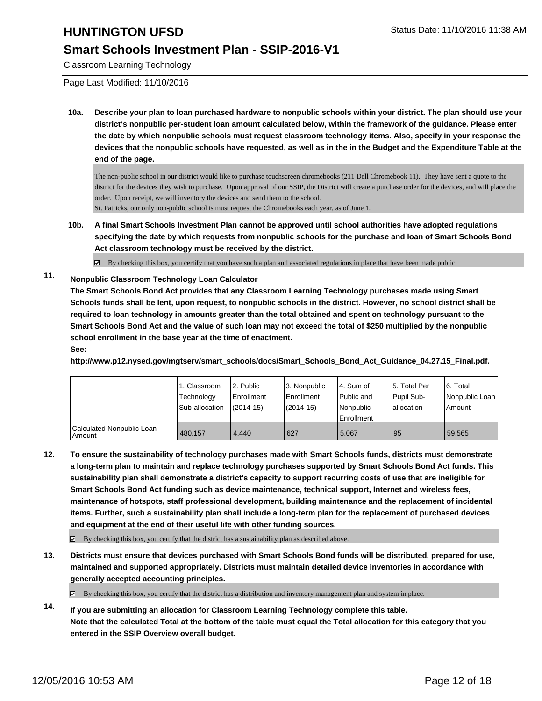### **Smart Schools Investment Plan - SSIP-2016-V1**

Classroom Learning Technology

Page Last Modified: 11/10/2016

**10a. Describe your plan to loan purchased hardware to nonpublic schools within your district. The plan should use your district's nonpublic per-student loan amount calculated below, within the framework of the guidance. Please enter the date by which nonpublic schools must request classroom technology items. Also, specify in your response the devices that the nonpublic schools have requested, as well as in the in the Budget and the Expenditure Table at the end of the page.**

The non-public school in our district would like to purchase touchscreen chromebooks (211 Dell Chromebook 11). They have sent a quote to the district for the devices they wish to purchase. Upon approval of our SSIP, the District will create a purchase order for the devices, and will place the order. Upon receipt, we will inventory the devices and send them to the school. St. Patricks, our only non-public school is must request the Chromebooks each year, as of June 1.

**10b. A final Smart Schools Investment Plan cannot be approved until school authorities have adopted regulations specifying the date by which requests from nonpublic schools for the purchase and loan of Smart Schools Bond Act classroom technology must be received by the district.**

 $\boxtimes$  By checking this box, you certify that you have such a plan and associated regulations in place that have been made public.

### **11. Nonpublic Classroom Technology Loan Calculator**

**The Smart Schools Bond Act provides that any Classroom Learning Technology purchases made using Smart Schools funds shall be lent, upon request, to nonpublic schools in the district. However, no school district shall be required to loan technology in amounts greater than the total obtained and spent on technology pursuant to the Smart Schools Bond Act and the value of such loan may not exceed the total of \$250 multiplied by the nonpublic school enrollment in the base year at the time of enactment.**

### **See:**

**http://www.p12.nysed.gov/mgtserv/smart\_schools/docs/Smart\_Schools\_Bond\_Act\_Guidance\_04.27.15\_Final.pdf.**

|                                     | 1. Classroom<br>Technology<br>Sub-allocation | 2. Public<br><b>Enrollment</b><br>$(2014 - 15)$ | 3. Nonpublic<br><b>Enrollment</b><br>(2014-15) | l 4. Sum of<br>Public and<br>Nonpublic<br>Enrollment | 15. Total Per<br>Pupil Sub-<br>Iallocation | 6. Total<br>Nonpublic Loan<br>Amount |
|-------------------------------------|----------------------------------------------|-------------------------------------------------|------------------------------------------------|------------------------------------------------------|--------------------------------------------|--------------------------------------|
| Calculated Nonpublic Loan<br>Amount | 480.157                                      | 4.440                                           | 627                                            | 5.067                                                | l 95                                       | 59,565                               |

**12. To ensure the sustainability of technology purchases made with Smart Schools funds, districts must demonstrate a long-term plan to maintain and replace technology purchases supported by Smart Schools Bond Act funds. This sustainability plan shall demonstrate a district's capacity to support recurring costs of use that are ineligible for Smart Schools Bond Act funding such as device maintenance, technical support, Internet and wireless fees, maintenance of hotspots, staff professional development, building maintenance and the replacement of incidental items. Further, such a sustainability plan shall include a long-term plan for the replacement of purchased devices and equipment at the end of their useful life with other funding sources.**

 $\boxtimes$  By checking this box, you certify that the district has a sustainability plan as described above.

**13. Districts must ensure that devices purchased with Smart Schools Bond funds will be distributed, prepared for use, maintained and supported appropriately. Districts must maintain detailed device inventories in accordance with generally accepted accounting principles.**

By checking this box, you certify that the district has a distribution and inventory management plan and system in place.

**14. If you are submitting an allocation for Classroom Learning Technology complete this table. Note that the calculated Total at the bottom of the table must equal the Total allocation for this category that you entered in the SSIP Overview overall budget.**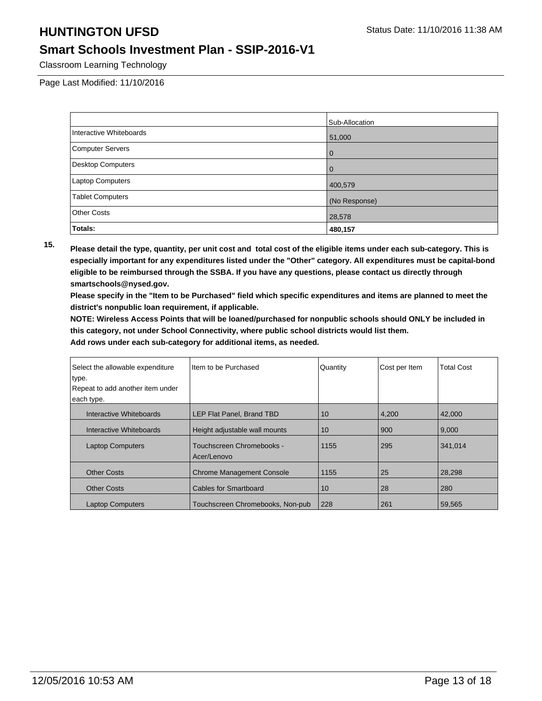## **Smart Schools Investment Plan - SSIP-2016-V1**

Classroom Learning Technology

Page Last Modified: 11/10/2016

|                          | Sub-Allocation |
|--------------------------|----------------|
| Interactive Whiteboards  | 51,000         |
| <b>Computer Servers</b>  | $\Omega$       |
| <b>Desktop Computers</b> | $\Omega$       |
| Laptop Computers         | 400,579        |
| <b>Tablet Computers</b>  | (No Response)  |
| <b>Other Costs</b>       | 28,578         |
| Totals:                  | 480,157        |

**15. Please detail the type, quantity, per unit cost and total cost of the eligible items under each sub-category. This is especially important for any expenditures listed under the "Other" category. All expenditures must be capital-bond eligible to be reimbursed through the SSBA. If you have any questions, please contact us directly through smartschools@nysed.gov.**

**Please specify in the "Item to be Purchased" field which specific expenditures and items are planned to meet the district's nonpublic loan requirement, if applicable.**

**NOTE: Wireless Access Points that will be loaned/purchased for nonpublic schools should ONLY be included in this category, not under School Connectivity, where public school districts would list them.**

| Select the allowable expenditure | Item to be Purchased                     | Quantity | Cost per Item | <b>Total Cost</b> |
|----------------------------------|------------------------------------------|----------|---------------|-------------------|
| type.                            |                                          |          |               |                   |
| Repeat to add another item under |                                          |          |               |                   |
| each type.                       |                                          |          |               |                   |
| Interactive Whiteboards          | LEP Flat Panel, Brand TBD                | 10       | 4,200         | 42,000            |
| Interactive Whiteboards          | Height adjustable wall mounts            | 10       | 900           | 9.000             |
| <b>Laptop Computers</b>          | Touchscreen Chromebooks -<br>Acer/Lenovo | 1155     | 295           | 341.014           |
| <b>Other Costs</b>               | <b>Chrome Management Console</b>         | 1155     | 25            | 28,298            |
| <b>Other Costs</b>               | <b>Cables for Smartboard</b>             | 10       | 28            | 280               |
| <b>Laptop Computers</b>          | Touchscreen Chromebooks, Non-pub         | 228      | 261           | 59,565            |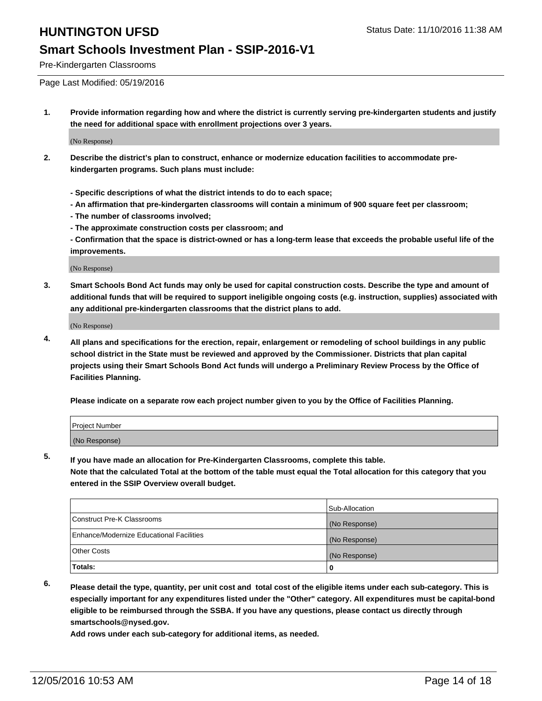## **Smart Schools Investment Plan - SSIP-2016-V1**

Pre-Kindergarten Classrooms

Page Last Modified: 05/19/2016

**1. Provide information regarding how and where the district is currently serving pre-kindergarten students and justify the need for additional space with enrollment projections over 3 years.**

(No Response)

- **2. Describe the district's plan to construct, enhance or modernize education facilities to accommodate prekindergarten programs. Such plans must include:**
	- **Specific descriptions of what the district intends to do to each space;**
	- **An affirmation that pre-kindergarten classrooms will contain a minimum of 900 square feet per classroom;**
	- **The number of classrooms involved;**
	- **The approximate construction costs per classroom; and**
	- **Confirmation that the space is district-owned or has a long-term lease that exceeds the probable useful life of the improvements.**

(No Response)

**3. Smart Schools Bond Act funds may only be used for capital construction costs. Describe the type and amount of additional funds that will be required to support ineligible ongoing costs (e.g. instruction, supplies) associated with any additional pre-kindergarten classrooms that the district plans to add.**

(No Response)

**4. All plans and specifications for the erection, repair, enlargement or remodeling of school buildings in any public school district in the State must be reviewed and approved by the Commissioner. Districts that plan capital projects using their Smart Schools Bond Act funds will undergo a Preliminary Review Process by the Office of Facilities Planning.**

**Please indicate on a separate row each project number given to you by the Office of Facilities Planning.**

| Project Number |  |  |
|----------------|--|--|
| (No Response)  |  |  |

**5. If you have made an allocation for Pre-Kindergarten Classrooms, complete this table.**

**Note that the calculated Total at the bottom of the table must equal the Total allocation for this category that you entered in the SSIP Overview overall budget.**

|                                          | Sub-Allocation |
|------------------------------------------|----------------|
| Construct Pre-K Classrooms               | (No Response)  |
| Enhance/Modernize Educational Facilities | (No Response)  |
| <b>Other Costs</b>                       | (No Response)  |
| Totals:                                  |                |

**6. Please detail the type, quantity, per unit cost and total cost of the eligible items under each sub-category. This is especially important for any expenditures listed under the "Other" category. All expenditures must be capital-bond eligible to be reimbursed through the SSBA. If you have any questions, please contact us directly through smartschools@nysed.gov.**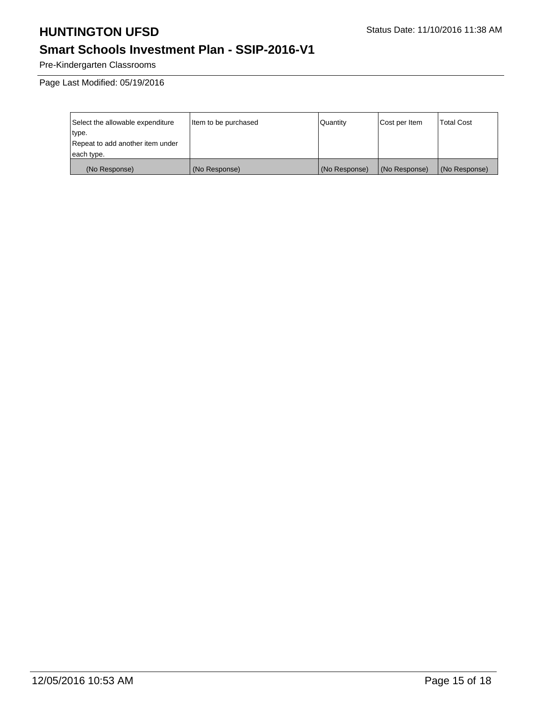# **Smart Schools Investment Plan - SSIP-2016-V1**

Pre-Kindergarten Classrooms

Page Last Modified: 05/19/2016

| Select the allowable expenditure | Item to be purchased | Quantity      | Cost per Item | Total Cost    |
|----------------------------------|----------------------|---------------|---------------|---------------|
| type.                            |                      |               |               |               |
| Repeat to add another item under |                      |               |               |               |
| each type.                       |                      |               |               |               |
| (No Response)                    | (No Response)        | (No Response) | (No Response) | (No Response) |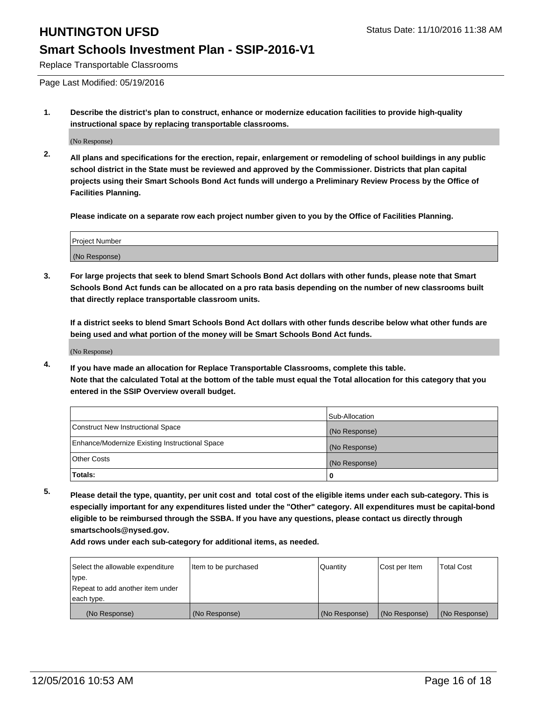### **Smart Schools Investment Plan - SSIP-2016-V1**

Replace Transportable Classrooms

Page Last Modified: 05/19/2016

**1. Describe the district's plan to construct, enhance or modernize education facilities to provide high-quality instructional space by replacing transportable classrooms.**

(No Response)

**2. All plans and specifications for the erection, repair, enlargement or remodeling of school buildings in any public school district in the State must be reviewed and approved by the Commissioner. Districts that plan capital projects using their Smart Schools Bond Act funds will undergo a Preliminary Review Process by the Office of Facilities Planning.**

**Please indicate on a separate row each project number given to you by the Office of Facilities Planning.**

| <b>Project Number</b> |  |
|-----------------------|--|
| (No Response)         |  |

**3. For large projects that seek to blend Smart Schools Bond Act dollars with other funds, please note that Smart Schools Bond Act funds can be allocated on a pro rata basis depending on the number of new classrooms built that directly replace transportable classroom units.**

**If a district seeks to blend Smart Schools Bond Act dollars with other funds describe below what other funds are being used and what portion of the money will be Smart Schools Bond Act funds.**

(No Response)

**4. If you have made an allocation for Replace Transportable Classrooms, complete this table. Note that the calculated Total at the bottom of the table must equal the Total allocation for this category that you entered in the SSIP Overview overall budget.**

|                                                | Sub-Allocation |
|------------------------------------------------|----------------|
| Construct New Instructional Space              | (No Response)  |
| Enhance/Modernize Existing Instructional Space | (No Response)  |
| <b>Other Costs</b>                             | (No Response)  |
| Totals:                                        |                |

**5. Please detail the type, quantity, per unit cost and total cost of the eligible items under each sub-category. This is especially important for any expenditures listed under the "Other" category. All expenditures must be capital-bond eligible to be reimbursed through the SSBA. If you have any questions, please contact us directly through smartschools@nysed.gov.**

| Select the allowable expenditure | Item to be purchased | Quantity      | Cost per Item | <b>Total Cost</b> |
|----------------------------------|----------------------|---------------|---------------|-------------------|
| type.                            |                      |               |               |                   |
| Repeat to add another item under |                      |               |               |                   |
| each type.                       |                      |               |               |                   |
| (No Response)                    | (No Response)        | (No Response) | (No Response) | (No Response)     |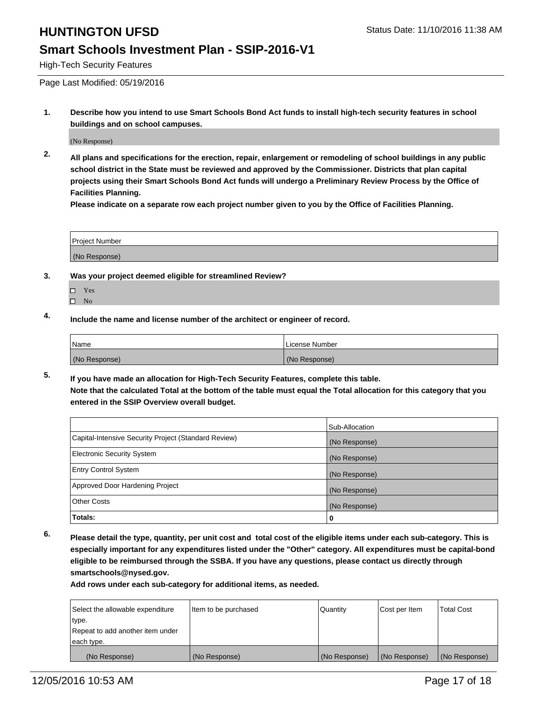### **Smart Schools Investment Plan - SSIP-2016-V1**

High-Tech Security Features

Page Last Modified: 05/19/2016

**1. Describe how you intend to use Smart Schools Bond Act funds to install high-tech security features in school buildings and on school campuses.**

(No Response)

**2. All plans and specifications for the erection, repair, enlargement or remodeling of school buildings in any public school district in the State must be reviewed and approved by the Commissioner. Districts that plan capital projects using their Smart Schools Bond Act funds will undergo a Preliminary Review Process by the Office of Facilities Planning.** 

**Please indicate on a separate row each project number given to you by the Office of Facilities Planning.**

| <b>Project Number</b> |  |
|-----------------------|--|
| (No Response)         |  |

- **3. Was your project deemed eligible for streamlined Review?**
	- Yes
	- $\square$  No
- **4. Include the name and license number of the architect or engineer of record.**

| 'Name         | License Number |
|---------------|----------------|
| (No Response) | (No Response)  |

**5. If you have made an allocation for High-Tech Security Features, complete this table. Note that the calculated Total at the bottom of the table must equal the Total allocation for this category that you entered in the SSIP Overview overall budget.**

|                                                      | Sub-Allocation |
|------------------------------------------------------|----------------|
| Capital-Intensive Security Project (Standard Review) | (No Response)  |
| <b>Electronic Security System</b>                    | (No Response)  |
| <b>Entry Control System</b>                          | (No Response)  |
| Approved Door Hardening Project                      | (No Response)  |
| <b>Other Costs</b>                                   | (No Response)  |
| Totals:                                              | 0              |

**6. Please detail the type, quantity, per unit cost and total cost of the eligible items under each sub-category. This is especially important for any expenditures listed under the "Other" category. All expenditures must be capital-bond eligible to be reimbursed through the SSBA. If you have any questions, please contact us directly through smartschools@nysed.gov.**

| Select the allowable expenditure | Item to be purchased | Quantity      | Cost per Item | <b>Total Cost</b> |
|----------------------------------|----------------------|---------------|---------------|-------------------|
| type.                            |                      |               |               |                   |
| Repeat to add another item under |                      |               |               |                   |
| each type.                       |                      |               |               |                   |
| (No Response)                    | (No Response)        | (No Response) | (No Response) | (No Response)     |